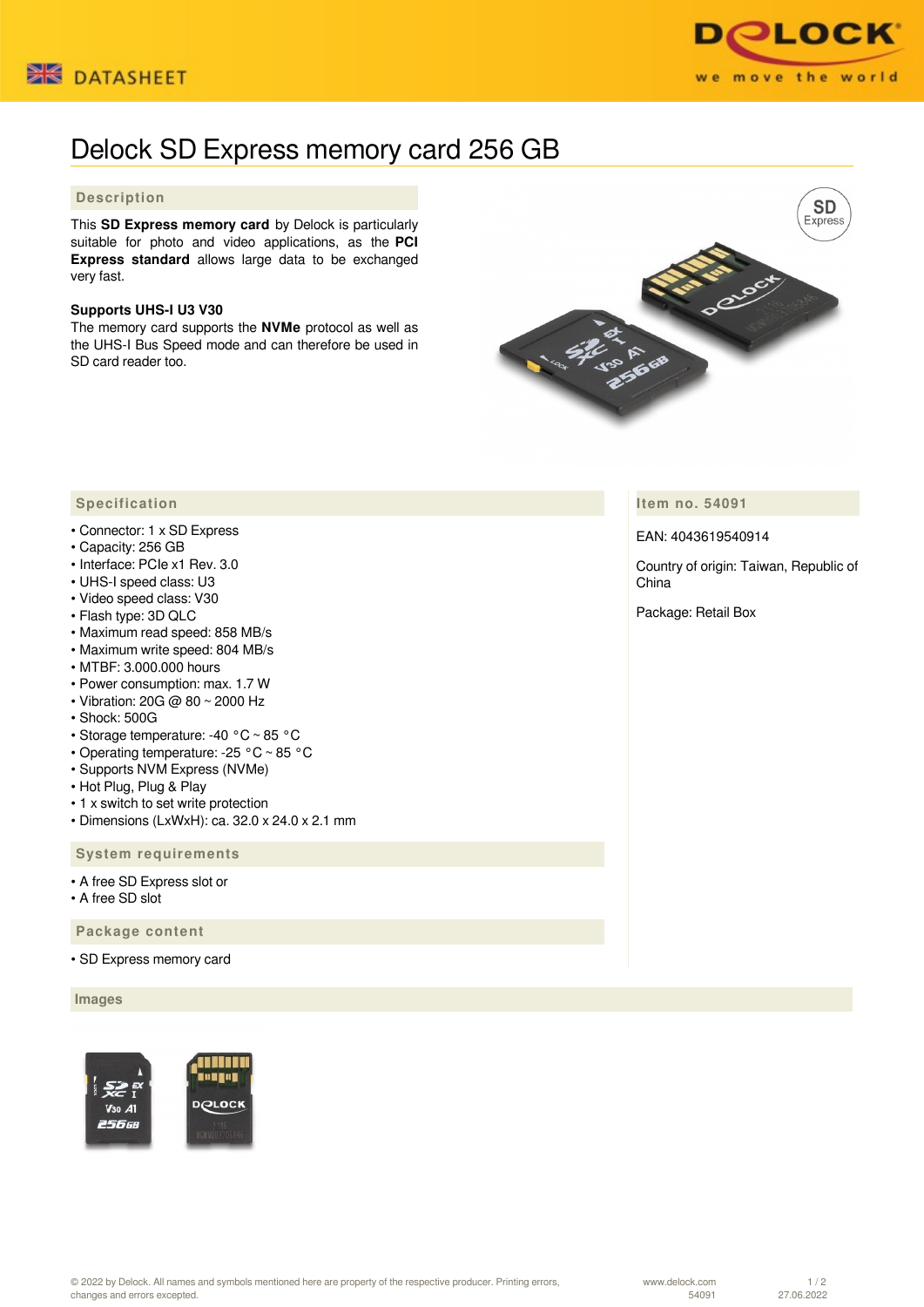



# Delock SD Express memory card 256 GB

## **Description**

This **SD Express memory card** by Delock is particularly suitable for photo and video applications, as the **PCI Express standard** allows large data to be exchanged very fast.

#### **Supports UHS-I U3 V30**

The memory card supports the **NVMe** protocol as well as the UHS-I Bus Speed mode and can therefore be used in SD card reader too.



**Item no. 54091**

### EAN: 4043619540914

Country of origin: Taiwan, Republic of China

Package: Retail Box

#### **Specification**

- Connector: 1 x SD Express
- Capacity: 256 GB
- Interface: PCIe x1 Rev. 3.0
- UHS-I speed class: U3
- Video speed class: V30
- Flash type: 3D QLC
- Maximum read speed: 858 MB/s
- Maximum write speed: 804 MB/s
- MTBF: 3.000.000 hours
- Power consumption: max. 1.7 W
- Vibration: 20G @ 80 ~ 2000 Hz
- Shock: 500G
- Storage temperature: -40 °C ~ 85 °C
- Operating temperature: -25 °C ~ 85 °C
- Supports NVM Express (NVMe)
- Hot Plug, Plug & Play
- 1 x switch to set write protection
- Dimensions (LxWxH): ca. 32.0 x 24.0 x 2.1 mm

 **System requirements**

- A free SD Express slot or
- A free SD slot

 **Package content**

• SD Express memory card

 **Images**